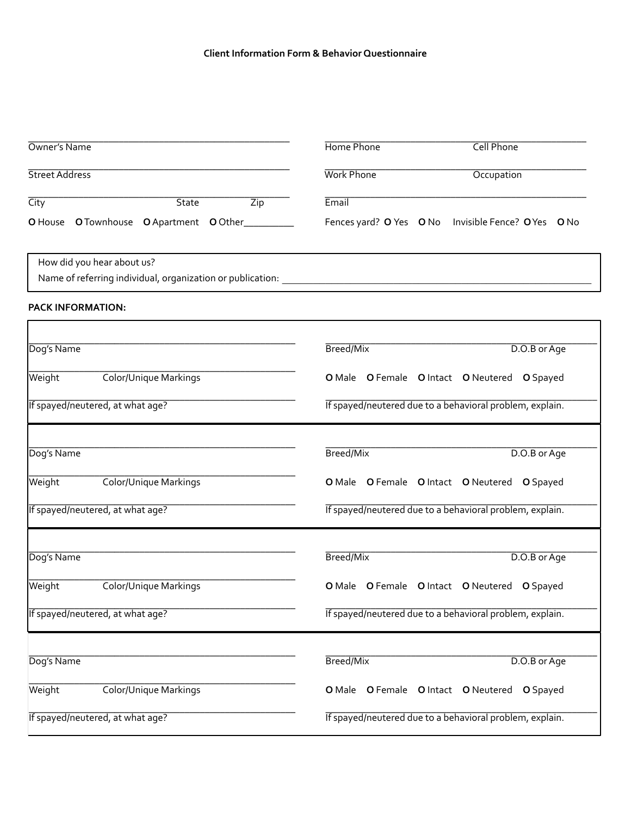#### **Client'Information'Form'&'Behavior'Questionnaire**

| Occupation                                          |
|-----------------------------------------------------|
|                                                     |
|                                                     |
| Fences yard? O Yes O No Invisible Fence? O Yes O No |
|                                                     |
|                                                     |

| Dog's Name                       | Breed/Mix<br>D.O.B or Age                                |
|----------------------------------|----------------------------------------------------------|
| Color/Unique Markings<br>Weight  | O Male O Female O Intact O Neutered O Spayed             |
| If spayed/neutered, at what age? | If spayed/neutered due to a behavioral problem, explain. |
| Dog's Name                       | Breed/Mix<br>D.O.B or Age                                |
| Color/Unique Markings<br>Weight  | O Male O Female O Intact O Neutered O Spayed             |
| If spayed/neutered, at what age? | If spayed/neutered due to a behavioral problem, explain. |
| Dog's Name                       | Breed/Mix<br>D.O.B or Age                                |
| Color/Unique Markings<br>Weight  | O Male O Female O Intact O Neutered O Spayed             |
| If spayed/neutered, at what age? | If spayed/neutered due to a behavioral problem, explain. |
|                                  |                                                          |
| Dog's Name                       | Breed/Mix<br>D.O.B or Age                                |
| Color/Unique Markings<br>Weight  | O Male O Female O Intact O Neutered O Spayed             |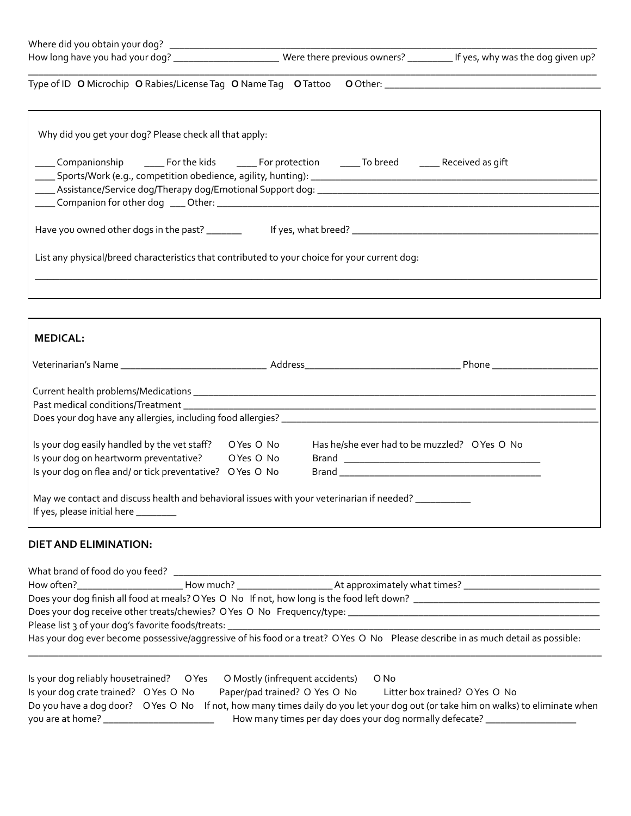|                                                                                                             |  | How long have you had your dog? _________________________Were there previous owners? __________ If yes, why was the dog given up? |
|-------------------------------------------------------------------------------------------------------------|--|-----------------------------------------------------------------------------------------------------------------------------------|
|                                                                                                             |  |                                                                                                                                   |
| Why did you get your dog? Please check all that apply:                                                      |  |                                                                                                                                   |
| _____ Companionship _______ For the kids ________ For protection _______ To breed ________ Received as gift |  |                                                                                                                                   |
| List any physical/breed characteristics that contributed to your choice for your current dog:               |  |                                                                                                                                   |
|                                                                                                             |  |                                                                                                                                   |
| <b>MEDICAL:</b>                                                                                             |  |                                                                                                                                   |
|                                                                                                             |  |                                                                                                                                   |
|                                                                                                             |  |                                                                                                                                   |
|                                                                                                             |  |                                                                                                                                   |

| Is your dog easily handled by the vet staff?<br>Is your dog on heartworm preventative?<br>Is your dog on flea and/or tick preventative? O Yes O No | OYes O No<br>OYes O No | Has he/she ever had to be muzzled? O Yes O No<br>Brand and the contract of the contract of the contract of the contract of the contract of the contract of the<br>Brand and the contract of the contract of the contract of the contract of the contract of the contract of the |
|----------------------------------------------------------------------------------------------------------------------------------------------------|------------------------|---------------------------------------------------------------------------------------------------------------------------------------------------------------------------------------------------------------------------------------------------------------------------------|
| May we contact and discuss health and behavioral issues with your veterinarian if needed?<br>If yes, please initial here ________                  |                        |                                                                                                                                                                                                                                                                                 |

# **DIET AND ELIMINATION:**

| Does your dog finish all food at meals? O Yes O No If not, how long is the food left down? |                                                                                                                                  |
|--------------------------------------------------------------------------------------------|----------------------------------------------------------------------------------------------------------------------------------|
| Does your dog receive other treats/chewies? OYes O No Frequency/type: ___________          |                                                                                                                                  |
| Please list 3 of your dog's favorite foods/treats: _____________________________           |                                                                                                                                  |
|                                                                                            | Has your dog ever become possessive/aggressive of his food or a treat? O Yes O No Please describe in as much detail as possible: |

|                                      |  | Is your dog reliably housetrained? O Yes O Mostly (infrequent accidents) | O No                                                                                                                             |
|--------------------------------------|--|--------------------------------------------------------------------------|----------------------------------------------------------------------------------------------------------------------------------|
| Is your dog crate trained? OYes O No |  | Paper/pad trained? O Yes O No                                            | Litter box trained? OYes O No                                                                                                    |
|                                      |  |                                                                          | Do you have a dog door? O Yes O No If not, how many times daily do you let your dog out (or take him on walks) to eliminate when |
| you are at home?                     |  |                                                                          | How many times per day does your dog normally defecate?                                                                          |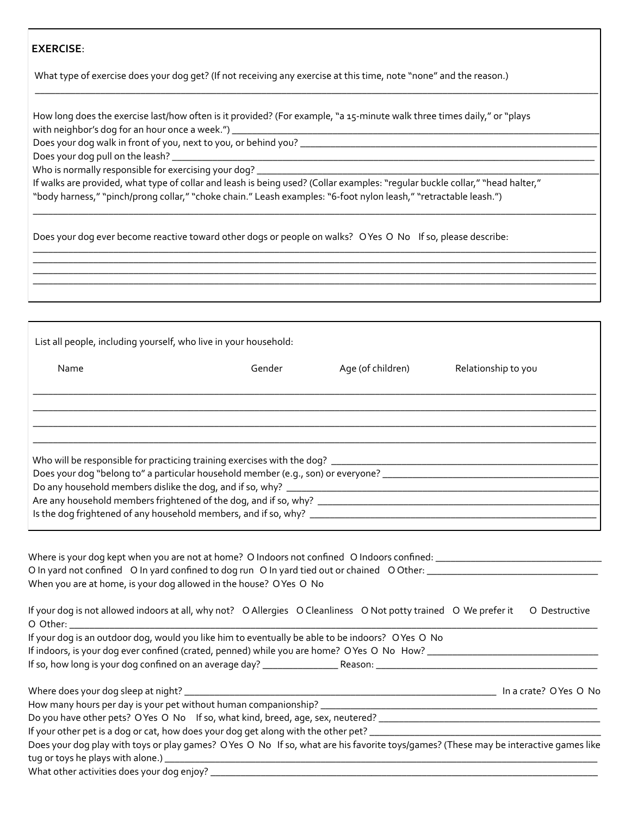## **EXERCISE:**

What type of exercise does your dog get? (If not receiving any exercise at this time, note "none" and the reason.)

How long does the exercise last/how often is it provided? (For example, "a 15-minute walk three times daily," or "plays with neighbor's dog for an hour once a week.")  $\_$ 

 $\overline{a}$  , and the set of the set of the set of the set of the set of the set of the set of the set of the set of the set of the set of the set of the set of the set of the set of the set of the set of the set of the set

&&\_\_\_\_\_\_\_\_\_\_\_\_\_\_\_\_\_\_\_\_\_\_\_\_\_\_\_\_\_\_\_\_\_\_\_\_\_\_\_\_\_\_\_\_\_\_\_\_\_\_\_\_\_\_\_\_\_\_\_\_\_\_\_\_\_\_\_\_\_\_\_\_\_\_\_\_\_\_\_\_\_\_\_\_\_\_\_\_\_\_\_\_\_\_\_\_\_\_\_\_\_\_\_\_\_\_\_\_\_\_\_\_

 $\overline{\phantom{a}}$  ,  $\overline{\phantom{a}}$  ,  $\overline{\phantom{a}}$  ,  $\overline{\phantom{a}}$  ,  $\overline{\phantom{a}}$  ,  $\overline{\phantom{a}}$  ,  $\overline{\phantom{a}}$  ,  $\overline{\phantom{a}}$  ,  $\overline{\phantom{a}}$  ,  $\overline{\phantom{a}}$  ,  $\overline{\phantom{a}}$  ,  $\overline{\phantom{a}}$  ,  $\overline{\phantom{a}}$  ,  $\overline{\phantom{a}}$  ,  $\overline{\phantom{a}}$  ,  $\overline{\phantom{a}}$ &&\_\_\_\_\_\_\_\_\_\_\_\_\_\_\_\_\_\_\_\_\_\_\_\_\_\_\_\_\_\_\_\_\_\_\_\_\_\_\_\_\_\_\_\_\_\_\_\_\_\_\_\_\_\_\_\_\_\_\_\_\_\_\_\_\_\_\_\_\_\_\_\_\_\_\_\_\_\_\_\_\_\_\_\_\_\_\_\_\_\_\_\_\_\_\_\_\_\_\_\_\_\_\_\_\_\_\_\_\_\_\_\_  $\overline{\phantom{a}}$  ,  $\overline{\phantom{a}}$  ,  $\overline{\phantom{a}}$  ,  $\overline{\phantom{a}}$  ,  $\overline{\phantom{a}}$  ,  $\overline{\phantom{a}}$  ,  $\overline{\phantom{a}}$  ,  $\overline{\phantom{a}}$  ,  $\overline{\phantom{a}}$  ,  $\overline{\phantom{a}}$  ,  $\overline{\phantom{a}}$  ,  $\overline{\phantom{a}}$  ,  $\overline{\phantom{a}}$  ,  $\overline{\phantom{a}}$  ,  $\overline{\phantom{a}}$  ,  $\overline{\phantom{a}}$ &&\_\_\_\_\_\_\_\_\_\_\_\_\_\_\_\_\_\_\_\_\_\_\_\_\_\_\_\_\_\_\_\_\_\_\_\_\_\_\_\_\_\_\_\_\_\_\_\_\_\_\_\_\_\_\_\_\_\_\_\_\_\_\_\_\_\_\_\_\_\_\_\_\_\_\_\_\_\_\_\_\_\_\_\_\_\_\_\_\_\_\_\_\_\_\_\_\_\_\_\_\_\_\_\_\_\_\_\_\_\_\_\_

Does your dog walk in front of you, next to you, or behind you? \_\_\_\_\_\_\_\_\_\_\_\_\_\_\_\_\_

Does your dog pull on the leash? \_\_

Who is normally responsible for exercising your dog? \_

If walks are provided, what type of collar and leash is being used? (Collar examples: "regular buckle collar," "head halter," "body harness," "pinch/prong collar," "choke chain." Leash examples: "6-foot nylon leash," "retractable leash.")

Does your dog ever become reactive toward other dogs or people on walks? OYes O No If so, please describe:

List all people, including yourself, who live in your household:

| Name                                                                                                                                                          | Gender | Age (of children) | Relationship to you |
|---------------------------------------------------------------------------------------------------------------------------------------------------------------|--------|-------------------|---------------------|
|                                                                                                                                                               |        |                   |                     |
|                                                                                                                                                               |        |                   |                     |
| Who will be responsible for practicing training exercises with the dog? _<br>Does your dog "belong to" a particular household member (e.g., son) or everyone? |        |                   |                     |
| Do any household members dislike the dog, and if so, why? _<br>Are any household members frightened of the dog, and if so, why? ______________                |        |                   |                     |
| Is the dog frightened of any household members, and if so, why? __________                                                                                    |        |                   |                     |

| Where is your dog kept when you are not at home? O Indoors not confined O Indoors confined: __________________<br>O In yard not confined O In yard confined to dog run O In yard tied out or chained O Other: __________________<br>When you are at home, is your dog allowed in the house? OYes O No |                        |
|-------------------------------------------------------------------------------------------------------------------------------------------------------------------------------------------------------------------------------------------------------------------------------------------------------|------------------------|
| If your dog is not allowed indoors at all, why not? O Allergies O Cleanliness O Not potty trained O We prefer it                                                                                                                                                                                      | O Destructive          |
| If your dog is an outdoor dog, would you like him to eventually be able to be indoors? OYes O No                                                                                                                                                                                                      |                        |
|                                                                                                                                                                                                                                                                                                       | In a crate? O Yes O No |
|                                                                                                                                                                                                                                                                                                       |                        |
| Do you have other pets? OYes O No If so, what kind, breed, age, sex, neutered? _______________________________                                                                                                                                                                                        |                        |
| If your other pet is a dog or cat, how does your dog get along with the other pet?<br>The strategy contract the other pet ?<br>The strategy contract the other pet ?<br>The strategy contract the other pet ?<br>The strategy contract                                                                |                        |
| Does your dog play with toys or play games? OYes O No If so, what are his favorite toys/games? (These may be interactive games like                                                                                                                                                                   |                        |
|                                                                                                                                                                                                                                                                                                       |                        |
|                                                                                                                                                                                                                                                                                                       |                        |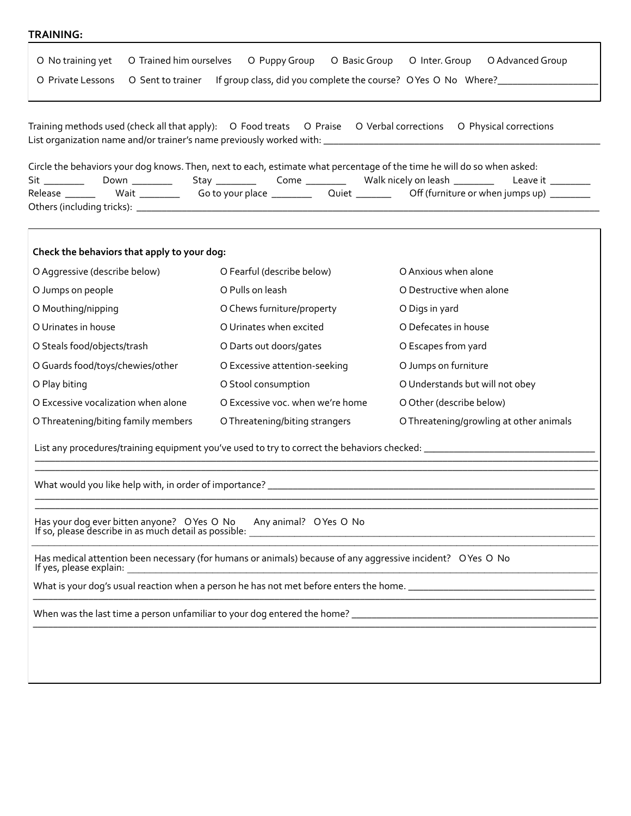## **TRAINING:**

| O No training yet<br>O Trained him ourselves                                                         | O Puppy Group O Basic Group O Inter. Group                                                                              | O Advanced Group                                                                 |
|------------------------------------------------------------------------------------------------------|-------------------------------------------------------------------------------------------------------------------------|----------------------------------------------------------------------------------|
| O Private Lessons<br>O Sent to trainer                                                               |                                                                                                                         | If group class, did you complete the course? O Yes O No Where?__________________ |
| Training methods used (check all that apply):  O Food treats<br>Sit _________                        | Circle the behaviors your dog knows. Then, next to each, estimate what percentage of the time he will do so when asked: | O Praise O Verbal corrections O Physical corrections<br>Leave it ________        |
| Release _______                                                                                      |                                                                                                                         |                                                                                  |
| Check the behaviors that apply to your dog:                                                          |                                                                                                                         |                                                                                  |
| O Aggressive (describe below)                                                                        | O Fearful (describe below)                                                                                              | O Anxious when alone                                                             |
| O Jumps on people                                                                                    | O Pulls on leash                                                                                                        | O Destructive when alone                                                         |
| O Mouthing/nipping                                                                                   | O Chews furniture/property                                                                                              | O Digs in yard                                                                   |
| O Urinates in house                                                                                  | O Urinates when excited                                                                                                 | O Defecates in house                                                             |
| O Steals food/objects/trash                                                                          | O Darts out doors/gates                                                                                                 | O Escapes from yard                                                              |
| O Guards food/toys/chewies/other                                                                     | O Excessive attention-seeking                                                                                           | O Jumps on furniture                                                             |
| O Play biting                                                                                        | O Stool consumption                                                                                                     | O Understands but will not obey                                                  |
| O Excessive vocalization when alone                                                                  | O Excessive voc. when we're home                                                                                        | O Other (describe below)                                                         |
| O Threatening/biting family members                                                                  | O Threatening/biting strangers                                                                                          | O Threatening/growling at other animals                                          |
|                                                                                                      |                                                                                                                         |                                                                                  |
|                                                                                                      |                                                                                                                         |                                                                                  |
| Has your dog ever bitten anyone? O Yes O No<br>If so, please describe in as much detail as possible: | Any animal? OYes O No                                                                                                   |                                                                                  |
| If yes, please explain:                                                                              | Has medical attention been necessary (for humans or animals) because of any aggressive incident? OYes O No              |                                                                                  |
|                                                                                                      |                                                                                                                         |                                                                                  |
|                                                                                                      |                                                                                                                         |                                                                                  |
|                                                                                                      |                                                                                                                         |                                                                                  |
|                                                                                                      |                                                                                                                         |                                                                                  |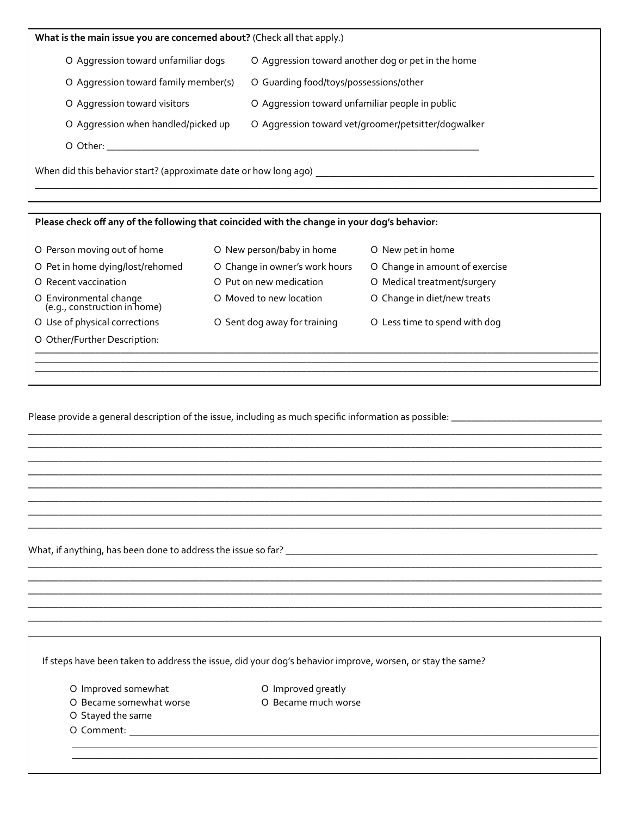| What is the main issue you are concerned about? (Check all that apply.)                      |                                |                                                     |  |  |  |  |  |  |  |
|----------------------------------------------------------------------------------------------|--------------------------------|-----------------------------------------------------|--|--|--|--|--|--|--|
| O Aggression toward unfamiliar dogs<br>O Aggression toward another dog or pet in the home    |                                |                                                     |  |  |  |  |  |  |  |
| O Aggression toward family member(s)                                                         |                                | O Guarding food/toys/possessions/other              |  |  |  |  |  |  |  |
| O Aggression toward visitors                                                                 |                                | O Aggression toward unfamiliar people in public     |  |  |  |  |  |  |  |
| O Aggression when handled/picked up                                                          |                                | O Aggression toward vet/groomer/petsitter/dogwalker |  |  |  |  |  |  |  |
|                                                                                              |                                |                                                     |  |  |  |  |  |  |  |
|                                                                                              |                                |                                                     |  |  |  |  |  |  |  |
|                                                                                              |                                |                                                     |  |  |  |  |  |  |  |
|                                                                                              |                                |                                                     |  |  |  |  |  |  |  |
|                                                                                              |                                |                                                     |  |  |  |  |  |  |  |
| Please check off any of the following that coincided with the change in your dog's behavior: |                                |                                                     |  |  |  |  |  |  |  |
| O Person moving out of home                                                                  | O New person/baby in home      | O New pet in home                                   |  |  |  |  |  |  |  |
| O Pet in home dying/lost/rehomed                                                             | O Change in owner's work hours | O Change in amount of exercise                      |  |  |  |  |  |  |  |
| O Recent vaccination                                                                         | O Put on new medication        | O Medical treatment/surgery                         |  |  |  |  |  |  |  |
| O Environmental change<br>(e.g., construction in home)                                       | O Moved to new location        | O Change in diet/new treats                         |  |  |  |  |  |  |  |
| O Use of physical corrections                                                                | O Sent dog away for training   | O Less time to spend with dog                       |  |  |  |  |  |  |  |
| O Other/Further Description:                                                                 |                                |                                                     |  |  |  |  |  |  |  |
|                                                                                              |                                |                                                     |  |  |  |  |  |  |  |

Please provide a general description of the issue, including as much specific information as possible: \_\_\_\_\_\_\_\_\_\_\_\_\_\_\_\_\_\_\_\_\_\_\_\_\_\_\_\_\_\_\_\_

If steps have been taken to address the issue, did your dog's behavior improve, worsen, or stay the same?

O Improved somewhat

O Improved greatly O Became much worse

O Became somewhat worse

O Stayed the same

O Comment: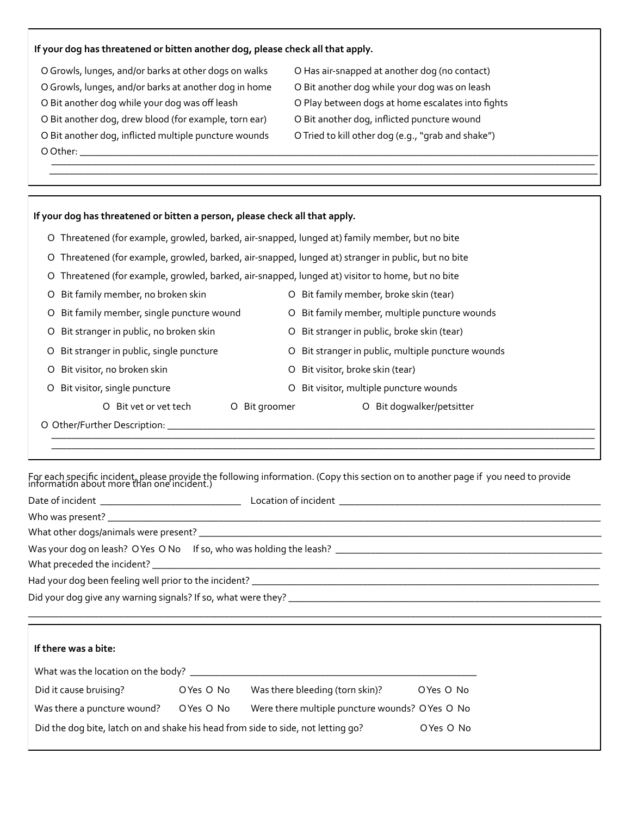#### If your dog has threatened or bitten another dog, please check all that apply.

 $\odot$  Growls, lunges, and/or barks at other dogs on walks  $\odot$  Has air-snapped at another dog (no contact) O Growls, lunges, and/or barks at another dog in home O Bit another dog while your dog was on leash O Bit another dog while your dog was off leash **Branoch Branot Co Play between** dogs at home escalates into fights O Bit another dog, drew blood (for example, torn ear) O Bit another dog, inflicted puncture wound O Bit another dog, inflicted multiple puncture wounds O Tried to kill other dog (e.g., "grab and shake") &&&&&&O&Other:&\_\_\_\_\_\_\_\_\_\_\_\_\_\_\_\_\_\_\_\_\_\_\_\_\_\_\_\_\_\_\_\_\_\_\_\_\_\_\_\_\_\_\_\_\_\_\_\_\_\_\_\_\_\_\_\_\_\_\_\_\_\_\_\_\_\_\_\_\_\_\_\_\_\_\_\_\_\_\_\_\_\_\_\_\_\_\_\_\_\_\_\_\_\_\_\_\_\_\_\_\_\_\_ &&&&&&&&&&&\_\_\_\_\_\_\_\_\_\_\_\_\_\_\_\_\_\_\_\_\_\_\_\_\_\_\_\_\_\_\_\_\_\_\_\_\_\_\_\_\_\_\_\_\_\_\_\_\_\_\_\_\_\_\_\_\_\_\_\_\_\_\_\_\_\_\_\_\_\_\_\_\_\_\_\_\_\_\_\_\_\_\_\_\_\_\_\_\_\_\_\_\_\_\_\_\_\_\_\_\_\_\_\_\_\_\_\_

| O Threatened (for example, growled, barked, air-snapped, lunged at) family member, but no bite<br>Threatened (for example, growled, barked, air-snapped, lunged at) stranger in public, but no bite<br>O<br>Threatened (for example, growled, barked, air-snapped, lunged at) visitor to home, but no bite<br>O<br>Bit family member, no broken skin<br>Bit family member, broke skin (tear)<br>O<br>O<br>Bit family member, single puncture wound<br>Bit family member, multiple puncture wounds<br>O<br>O<br>Bit stranger in public, no broken skin<br>Bit stranger in public, broke skin (tear)<br>O<br>O<br>Bit stranger in public, single puncture<br>Bit stranger in public, multiple puncture wounds<br>O<br>O<br>Bit visitor, no broken skin<br>Bit visitor, broke skin (tear)<br>O<br>O<br>Bit visitor, multiple puncture wounds<br>Bit visitor, single puncture<br>O<br>O<br>Bit dogwalker/petsitter<br>$\circ$<br>Bit vet or vet tech<br>O Bit groomer<br>O | If your dog has threatened or bitten a person, please check all that apply. |  |  |  |  |  |
|------------------------------------------------------------------------------------------------------------------------------------------------------------------------------------------------------------------------------------------------------------------------------------------------------------------------------------------------------------------------------------------------------------------------------------------------------------------------------------------------------------------------------------------------------------------------------------------------------------------------------------------------------------------------------------------------------------------------------------------------------------------------------------------------------------------------------------------------------------------------------------------------------------------------------------------------------------------------|-----------------------------------------------------------------------------|--|--|--|--|--|
|                                                                                                                                                                                                                                                                                                                                                                                                                                                                                                                                                                                                                                                                                                                                                                                                                                                                                                                                                                        |                                                                             |  |  |  |  |  |
|                                                                                                                                                                                                                                                                                                                                                                                                                                                                                                                                                                                                                                                                                                                                                                                                                                                                                                                                                                        |                                                                             |  |  |  |  |  |
|                                                                                                                                                                                                                                                                                                                                                                                                                                                                                                                                                                                                                                                                                                                                                                                                                                                                                                                                                                        |                                                                             |  |  |  |  |  |
|                                                                                                                                                                                                                                                                                                                                                                                                                                                                                                                                                                                                                                                                                                                                                                                                                                                                                                                                                                        |                                                                             |  |  |  |  |  |
|                                                                                                                                                                                                                                                                                                                                                                                                                                                                                                                                                                                                                                                                                                                                                                                                                                                                                                                                                                        |                                                                             |  |  |  |  |  |
|                                                                                                                                                                                                                                                                                                                                                                                                                                                                                                                                                                                                                                                                                                                                                                                                                                                                                                                                                                        |                                                                             |  |  |  |  |  |
|                                                                                                                                                                                                                                                                                                                                                                                                                                                                                                                                                                                                                                                                                                                                                                                                                                                                                                                                                                        |                                                                             |  |  |  |  |  |
|                                                                                                                                                                                                                                                                                                                                                                                                                                                                                                                                                                                                                                                                                                                                                                                                                                                                                                                                                                        |                                                                             |  |  |  |  |  |
|                                                                                                                                                                                                                                                                                                                                                                                                                                                                                                                                                                                                                                                                                                                                                                                                                                                                                                                                                                        |                                                                             |  |  |  |  |  |
|                                                                                                                                                                                                                                                                                                                                                                                                                                                                                                                                                                                                                                                                                                                                                                                                                                                                                                                                                                        |                                                                             |  |  |  |  |  |

 $\overline{\mathcal{L}(\mathcal{L}(\mathcal{L})\mathcal{L}(\mathcal{L})\mathcal{L}(\mathcal{L})\mathcal{L}(\mathcal{L})\mathcal{L}(\mathcal{L})\mathcal{L}(\mathcal{L})\mathcal{L}(\mathcal{L})\mathcal{L}(\mathcal{L})\mathcal{L}(\mathcal{L})\mathcal{L}(\mathcal{L})\mathcal{L}(\mathcal{L})\mathcal{L}(\mathcal{L})\mathcal{L}(\mathcal{L})\mathcal{L}(\mathcal{L})\mathcal{L}(\mathcal{L})\mathcal{L}(\mathcal{L})\mathcal{L}(\mathcal{L})\mathcal{L}(\$ 

For each specific incident, please provide the following information. (Copy this section on to another page if you need to provide<br>information about more than one incident.)

|                                   |           | ,我们也不能会在这里,我们也不能会在这里,我们也不能会在这里,我们也不能会不能会不能会不能会。""我们,我们也不能会不能会不能会不能会不能会不能会不能会不能会不 |  |
|-----------------------------------|-----------|----------------------------------------------------------------------------------|--|
|                                   |           |                                                                                  |  |
| If there was a bite:              |           |                                                                                  |  |
|                                   |           |                                                                                  |  |
| Did it cause bruising? O Yes O No |           | Was there bleeding (torn skin)? OYes O No                                        |  |
| Was there a puncture wound?       | OYes O No | Were there multiple puncture wounds? OYes O No                                   |  |

Did the dog bite, latch on and shake his head from side to side, not letting go?  $\Box$  OYes O No